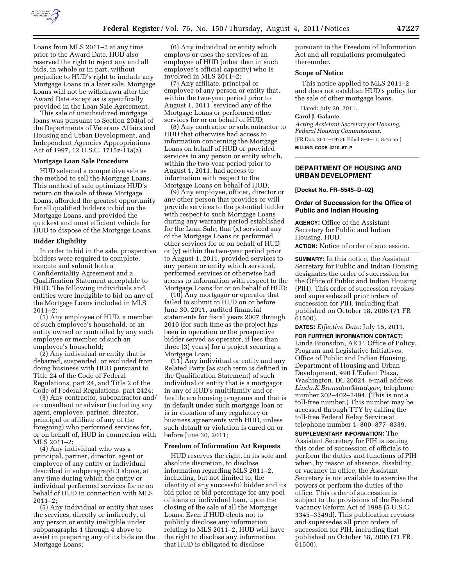

Loans from MLS 2011–2 at any time prior to the Award Date. HUD also reserved the right to reject any and all bids, in whole or in part, without prejudice to HUD's right to include any Mortgage Loans in a later sale. Mortgage Loans will not be withdrawn after the Award Date except as is specifically provided in the Loan Sale Agreement.

This sale of unsubsidized mortgage loans was pursuant to Section 204(a) of the Departments of Veterans Affairs and Housing and Urban Development, and Independent Agencies Appropriations Act of 1997, 12 U.S.C. 1715z-11a(a).

### **Mortgage Loan Sale Procedure**

HUD selected a competitive sale as the method to sell the Mortgage Loans. This method of sale optimizes HUD's return on the sale of these Mortgage Loans, afforded the greatest opportunity for all qualified bidders to bid on the Mortgage Loans, and provided the quickest and most efficient vehicle for HUD to dispose of the Mortgage Loans.

#### **Bidder Eligibility**

In order to bid in the sale, prospective bidders were required to complete, execute and submit both a Confidentiality Agreement and a Qualification Statement acceptable to HUD. The following individuals and entities were ineligible to bid on any of the Mortgage Loans included in MLS 2011–2:

(1) Any employee of HUD, a member of such employee's household, or an entity owned or controlled by any such employee or member of such an employee's household;

(2) Any individual or entity that is debarred, suspended, or excluded from doing business with HUD pursuant to Title 24 of the Code of Federal Regulations, part 24, and Title 2 of the Code of Federal Regulations, part 2424;

(3) Any contractor, subcontractor and/ or consultant or advisor (including any agent, employee, partner, director, principal or affiliate of any of the foregoing) who performed services for, or on behalf of, HUD in connection with MLS 2011–2;

(4) Any individual who was a principal, partner, director, agent or employee of any entity or individual described in subparagraph 3 above, at any time during which the entity or individual performed services for or on behalf of HUD in connection with MLS 2011–2;

(5) Any individual or entity that uses the services, directly or indirectly, of any person or entity ineligible under subparagraphs 1 through 4 above to assist in preparing any of its bids on the Mortgage Loans;

(6) Any individual or entity which employs or uses the services of an employee of HUD (other than in such employee's official capacity) who is involved in MLS 2011–2;

(7) Any affiliate, principal or employee of any person or entity that, within the two-year period prior to August 1, 2011, serviced any of the Mortgage Loans or performed other services for or on behalf of HUD;

(8) Any contractor or subcontractor to HUD that otherwise had access to information concerning the Mortgage Loans on behalf of HUD or provided services to any person or entity which, within the two-year period prior to August 1, 2011, had access to information with respect to the Mortgage Loans on behalf of HUD;

(9) Any employee, officer, director or any other person that provides or will provide services to the potential bidder with respect to such Mortgage Loans during any warranty period established for the Loan Sale, that (x) serviced any of the Mortgage Loans or performed other services for or on behalf of HUD or (y) within the two-year period prior to August 1, 2011, provided services to any person or entity which serviced, performed services or otherwise had access to information with respect to the Mortgage Loans for or on behalf of HUD;

(10) Any mortgagor or operator that failed to submit to HUD on or before June 30, 2011, audited financial statements for fiscal years 2007 through 2010 (for such time as the project has been in operation or the prospective bidder served as operator, if less than three (3) years) for a project securing a Mortgage Loan;

(11) Any individual or entity and any Related Party (as such term is defined in the Qualification Statement) of such individual or entity that is a mortgagor in any of HUD's multifamily and or healthcare housing programs and that is in default under such mortgage loan or is in violation of any regulatory or business agreements with HUD, unless such default or violation is cured on or before June 30, 2011;

#### **Freedom of Information Act Requests**

HUD reserves the right, in its sole and absolute discretion, to disclose information regarding MLS 2011–2, including, but not limited to, the identity of any successful bidder and its bid price or bid percentage for any pool of loans or individual loan, upon the closing of the sale of all the Mortgage Loans. Even if HUD elects not to publicly disclose any information relating to MLS 2011–2, HUD will have the right to disclose any information that HUD is obligated to disclose

pursuant to the Freedom of Information Act and all regulations promulgated thereunder.

### **Scope of Notice**

This notice applied to MLS 2011–2 and does not establish HUD's policy for the sale of other mortgage loans.

Dated: July 29, 2011.

## **Carol J. Galante,**

*Acting Assistant Secretary for Housing, Federal Housing Commissioner.*  [FR Doc. 2011–19736 Filed 8–3–11; 8:45 am] **BILLING CODE 4210–67–P** 

## **DEPARTMENT OF HOUSING AND URBAN DEVELOPMENT**

### **[Docket No. FR–5545–D–02]**

### **Order of Succession for the Office of Public and Indian Housing**

**AGENCY:** Office of the Assistant Secretary for Public and Indian Housing, HUD.

**ACTION:** Notice of order of succession.

**SUMMARY:** In this notice, the Assistant Secretary for Public and Indian Housing designates the order of succession for the Office of Public and Indian Housing (PIH). This order of succession revokes and supersedes all prior orders of succession for PIH, including that published on October 18, 2006 (71 FR 61500).

**DATES:** *Effective Date:* July 15, 2011.

**FOR FURTHER INFORMATION CONTACT:**  Linda Bronsdon, AICP, Office of Policy, Program and Legislative Initiatives, Office of Public and Indian Housing, Department of Housing and Urban Development, 490 L'Enfant Plaza, Washington, DC 20024, e-mail address *[Linda.K.Bronsdon@hud.gov,](mailto:Linda.K.Bronsdon@hud.gov)* telephone number 202–402–3494. (This is not a toll-free number.) This number may be accessed through TTY by calling the toll-free Federal Relay Service at telephone number 1–800–877–8339.

**SUPPLEMENTARY INFORMATION:** The Assistant Secretary for PIH is issuing this order of succession of officials to perform the duties and functions of PIH when, by reason of absence, disability, or vacancy in office, the Assistant Secretary is not available to exercise the powers or perform the duties of the office. This order of succession is subject to the provisions of the Federal Vacancy Reform Act of 1998 (5 U.S.C. 3345–3349d). This publication revokes and supersedes all prior orders of succession for PIH, including that published on October 18, 2006 (71 FR 61500).